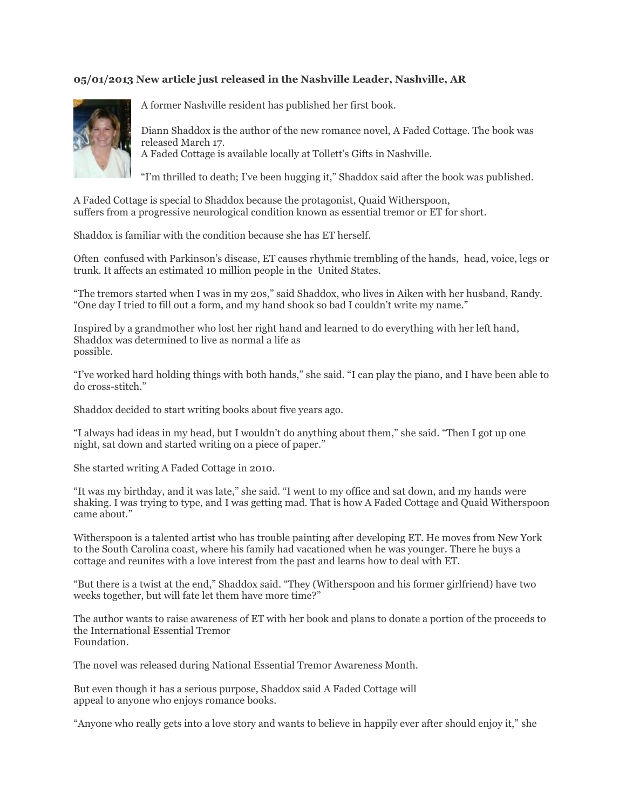## **05/01/2013 New article just released in the Nashville Leader, Nashville, AR**



A former Nashville resident has published her first book.

Diann Shaddox is the author of the new romance novel, A Faded Cottage. The book was released March 17. A Faded Cottage is available locally at Tollett's Gifts in Nashville.

"I'm thrilled to death; I've been hugging it," Shaddox said after the book was published.

A Faded Cottage is special to Shaddox because the protagonist, Quaid Witherspoon, suffers from a progressive neurological condition known as essential tremor or ET for short.

Shaddox is familiar with the condition because she has ET herself.

Often confused with Parkinson's disease, ET causes rhythmic trembling of the hands, head, voice, legs or trunk. It affects an estimated 10 million people in the United States.

"The tremors started when I was in my 20s," said Shaddox, who lives in Aiken with her husband, Randy. "One day I tried to fill out a form, and my hand shook so bad I couldn't write my name."

Inspired by a grandmother who lost her right hand and learned to do everything with her left hand, Shaddox was determined to live as normal a life as possible.

"I've worked hard holding things with both hands," she said. "I can play the piano, and I have been able to do cross-stitch."

Shaddox decided to start writing books about five years ago.

"I always had ideas in my head, but I wouldn't do anything about them," she said. "Then I got up one night, sat down and started writing on a piece of paper."

She started writing A Faded Cottage in 2010.

"It was my birthday, and it was late," she said. "I went to my office and sat down, and my hands were shaking. I was trying to type, and I was getting mad. That is how A Faded Cottage and Quaid Witherspoon came about."

Witherspoon is a talented artist who has trouble painting after developing ET. He moves from New York to the South Carolina coast, where his family had vacationed when he was younger. There he buys a cottage and reunites with a love interest from the past and learns how to deal with ET.

"But there is a twist at the end," Shaddox said. "They (Witherspoon and his former girlfriend) have two weeks together, but will fate let them have more time?"

The author wants to raise awareness of ET with her book and plans to donate a portion of the proceeds to the International Essential Tremor Foundation.

The novel was released during National Essential Tremor Awareness Month.

But even though it has a serious purpose, Shaddox said A Faded Cottage will appeal to anyone who enjoys romance books.

"Anyone who really gets into a love story and wants to believe in happily ever after should enjoy it," she